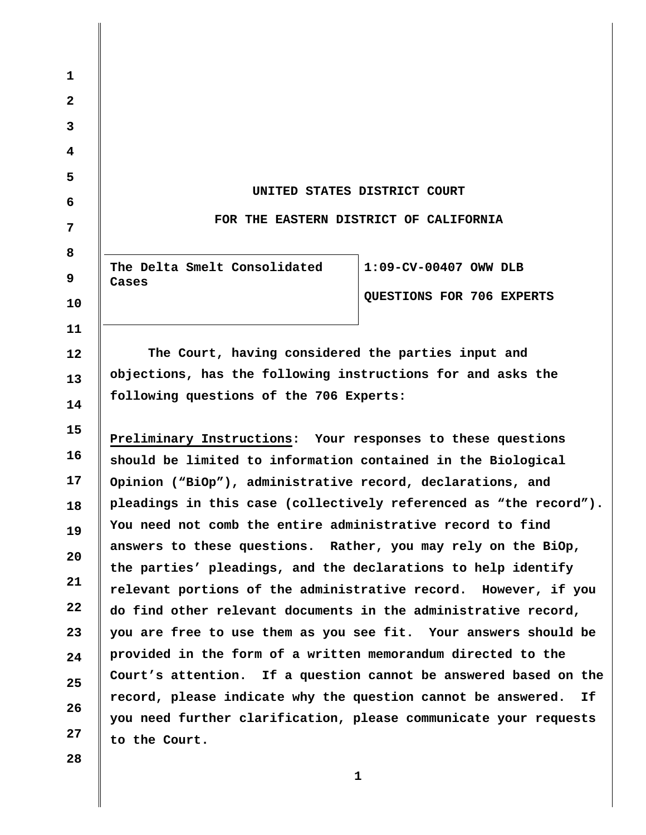**1 2 3 4 5 6 7 8 9 10 11 12 13 14 15 16 17 18 19 20 21 22 23 24 25 26 27 s Ca es UNITED STATES DISTRICT COURT FOR THE EASTERN DISTRICT OF CALIFORNIA The Delta Smelt Consolidated 1:09-CV-00407 OWW DLB QUESTIONS FOR 706 EXPERTS The Court, having considered the parties input and objections, has the following instructions for and asks the following questions of the 706 Experts: Preliminary Instructions: Your responses to these questions should be limited to information contained in the Biological Opinion ("BiOp"), administrative record, declarations, and pleadings in this case (collectively referenced as "the record"). You need not comb the entire administrative record to find answers to these questions. Rather, you may rely on the BiOp, the parties' pleadings, and the declarations to help identify relevant portions of the administrative record. However, if you do find other relevant documents in the administrative record, you are free to use them as you see fit. Your answers should be provided in the form of a written memorandum directed to the Court's attention. If a question cannot be answered based on the record, please indicate why the question cannot be answered. If you need further clarification, please communicate your requests to the Court.** 

**28** 

**1 1**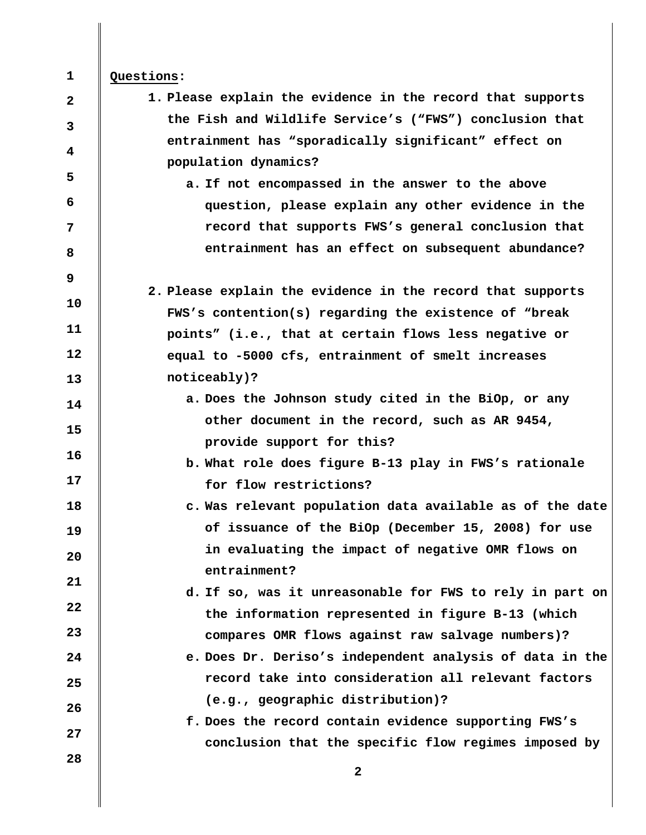## **Questions:**

**1** 

**2** 

**3** 

**4** 

**5** 

**6** 

**7** 

**8** 

**9** 

**10** 

**11** 

**12** 

**13** 

**16** 

**17** 

**18** 

**19** 

**20** 

**21** 

**22** 

**23** 

**27** 

**28** 

- **1. Please explain the evidence in the record that supports the Fish and Wildlife Service's ("FWS") conclusion that entrainment has "sporadically significant" effect on population dynamics?** 
	- **a. If not encompassed in the answer to the above question, please explain any other evidence in the record that supports FWS's general conclusion that entrainment has an effect on subsequent abundance?**
- **2. Please explain the evidence in the record that supports FWS's contention(s) regarding the existence of "break points" (i.e., that at certain flows less negative or equal to -5000 cfs, entrainment of smelt increases noticeably)?**
- **14 15 a. Does the Johnson study cited in the BiOp, or any other document in the record, such as AR 9454, provide support for this?** 
	- **b. What role does figure B-13 play in FWS's rationale for flow restrictions?**
	- **c. Was relevant population data available as of the date of issuance of the BiOp (December 15, 2008) for use in evaluating the impact of negative OMR flows on entrainment?** 
		- **d. If so, was it unreasonable for FWS to rely in part on the information represented in figure B-13 (which compares OMR flows against raw salvage numbers)?**
- **24 25 26 e. Does Dr. Deriso's independent analysis of data in the record take into consideration all relevant factors (e.g., geographic distribution)?** 
	- **f. Does the record contain evidence supporting FWS's conclusion that the specific flow regimes imposed by**